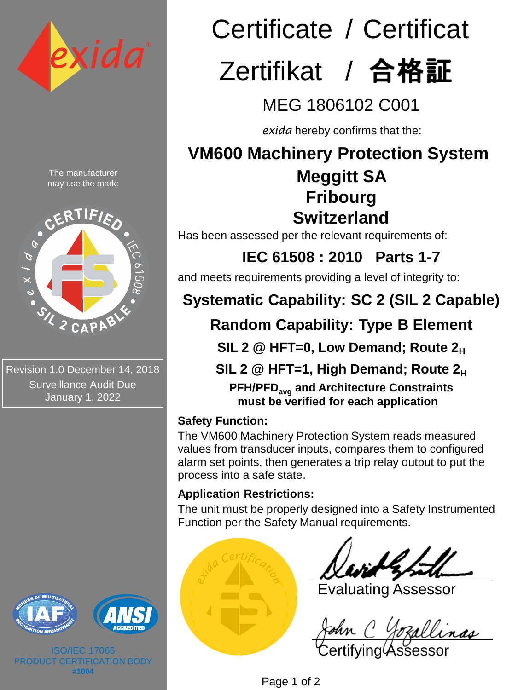

The manufacturer may use the mark:



Revision 1.0 December 14, 2018 Surveillance Audit Due January 1, 2022





ISO/IEC 17065 PRODUCT CERTIFICATION BODY **#1004**

# Certificate / Certificat Zertifikat / 合格証

MEG 1806102 C001

*exida* hereby confirms that the:

# **VM600 Machinery Protection System**

## **Meggitt SA Fribourg Switzerland**

Has been assessed per the relevant requirements of:

**IEC 61508 : 2010 Parts 1-7**  and meets requirements providing a level of integrity to:

# **Systematic Capability: SC 2 (SIL 2 Capable)**

## **Random Capability: Type B Element**

**SIL 2 @ HFT=0, Low Demand; Route 2<sup>H</sup>**

**SIL 2 @ HFT=1, High Demand; Route 2<sup>H</sup>**

**PFH/PFDavg and Architecture Constraints must be verified for each application**

## **Safety Function:**

The VM600 Machinery Protection System reads measured values from transducer inputs, compares them to configured alarm set points, then generates a trip relay output to put the process into a safe state.

## **Application Restrictions:**

The unit must be properly designed into a Safety Instrumented Function per the Safety Manual requirements.



Evaluating Assessor

Certifying Assessor

Page 1 of 2